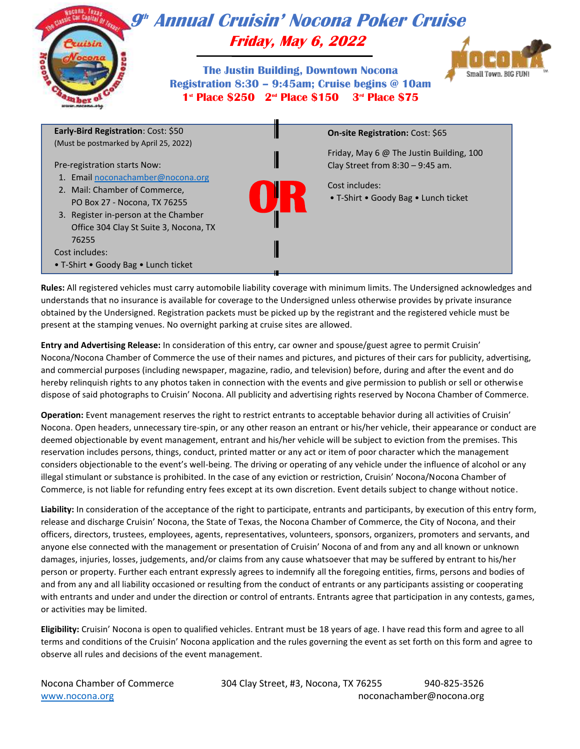

**Rules:** All registered vehicles must carry automobile liability coverage with minimum limits. The Undersigned acknowledges and understands that no insurance is available for coverage to the Undersigned unless otherwise provides by private insurance obtained by the Undersigned. Registration packets must be picked up by the registrant and the registered vehicle must be present at the stamping venues. No overnight parking at cruise sites are allowed.

**Entry and Advertising Release:** In consideration of this entry, car owner and spouse/guest agree to permit Cruisin' Nocona/Nocona Chamber of Commerce the use of their names and pictures, and pictures of their cars for publicity, advertising, and commercial purposes (including newspaper, magazine, radio, and television) before, during and after the event and do hereby relinquish rights to any photos taken in connection with the events and give permission to publish or sell or otherwise dispose of said photographs to Cruisin' Nocona. All publicity and advertising rights reserved by Nocona Chamber of Commerce.

**Operation:** Event management reserves the right to restrict entrants to acceptable behavior during all activities of Cruisin' Nocona. Open headers, unnecessary tire-spin, or any other reason an entrant or his/her vehicle, their appearance or conduct are deemed objectionable by event management, entrant and his/her vehicle will be subject to eviction from the premises. This reservation includes persons, things, conduct, printed matter or any act or item of poor character which the management considers objectionable to the event's well-being. The driving or operating of any vehicle under the influence of alcohol or any illegal stimulant or substance is prohibited. In the case of any eviction or restriction, Cruisin' Nocona/Nocona Chamber of Commerce, is not liable for refunding entry fees except at its own discretion. Event details subject to change without notice.

**Liability:** In consideration of the acceptance of the right to participate, entrants and participants, by execution of this entry form, release and discharge Cruisin' Nocona, the State of Texas, the Nocona Chamber of Commerce, the City of Nocona, and their officers, directors, trustees, employees, agents, representatives, volunteers, sponsors, organizers, promoters and servants, and anyone else connected with the management or presentation of Cruisin' Nocona of and from any and all known or unknown damages, injuries, losses, judgements, and/or claims from any cause whatsoever that may be suffered by entrant to his/her person or property. Further each entrant expressly agrees to indemnify all the foregoing entities, firms, persons and bodies of and from any and all liability occasioned or resulting from the conduct of entrants or any participants assisting or cooperating with entrants and under and under the direction or control of entrants. Entrants agree that participation in any contests, games, or activities may be limited.

**Eligibility:** Cruisin' Nocona is open to qualified vehicles. Entrant must be 18 years of age. I have read this form and agree to all terms and conditions of the Cruisin' Nocona application and the rules governing the event as set forth on this form and agree to observe all rules and decisions of the event management.

Nocona Chamber of Commerce 304 Clay Street, #3, Nocona, TX 76255 940-825-3526 [www.nocona.org](http://www.nocona.org/) noconachamber@nocona.org noconachamber@nocona.org